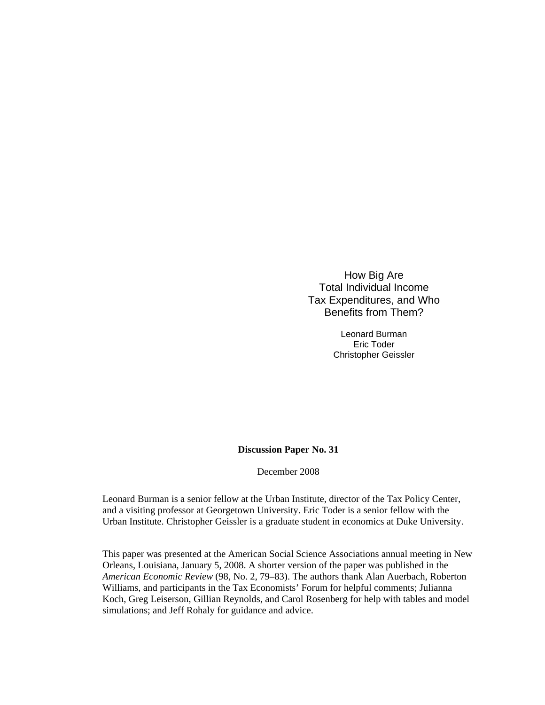How Big Are Total Individual Income Tax Expenditures, and Who Benefits from Them?

> Leonard Burman Eric Toder Christopher Geissler

**Discussion Paper No. 31** 

December 2008

Leonard Burman is a senior fellow at the Urban Institute, director of the Tax Policy Center, and a visiting professor at Georgetown University. Eric Toder is a senior fellow with the Urban Institute. Christopher Geissler is a graduate student in economics at Duke University.

This paper was presented at the American Social Science Associations annual meeting in New Orleans, Louisiana, January 5, 2008. A shorter version of the paper was published in the *American Economic Review* (98, No. 2, 79–83). The authors thank Alan Auerbach, Roberton Williams, and participants in the Tax Economists' Forum for helpful comments; Julianna Koch, Greg Leiserson, Gillian Reynolds, and Carol Rosenberg for help with tables and model simulations; and Jeff Rohaly for guidance and advice.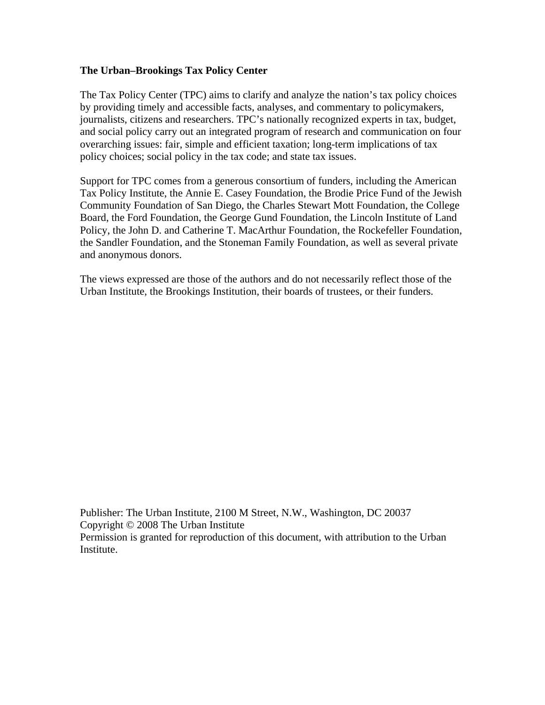# **The Urban–Brookings Tax Policy Center**

The Tax Policy Center (TPC) aims to clarify and analyze the nation's tax policy choices by providing timely and accessible facts, analyses, and commentary to policymakers, journalists, citizens and researchers. TPC's nationally recognized experts in tax, budget, and social policy carry out an integrated program of research and communication on four overarching issues: fair, simple and efficient taxation; long-term implications of tax policy choices; social policy in the tax code; and state tax issues.

Support for TPC comes from a generous consortium of funders, including the American Tax Policy Institute, the Annie E. Casey Foundation, the Brodie Price Fund of the Jewish Community Foundation of San Diego, the Charles Stewart Mott Foundation, the College Board, the Ford Foundation, the George Gund Foundation, the Lincoln Institute of Land Policy, the John D. and Catherine T. MacArthur Foundation, the Rockefeller Foundation, the Sandler Foundation, and the Stoneman Family Foundation, as well as several private and anonymous donors.

The views expressed are those of the authors and do not necessarily reflect those of the Urban Institute, the Brookings Institution, their boards of trustees, or their funders.

Publisher: The Urban Institute, 2100 M Street, N.W., Washington, DC 20037 Copyright © 2008 The Urban Institute Permission is granted for reproduction of this document, with attribution to the Urban Institute.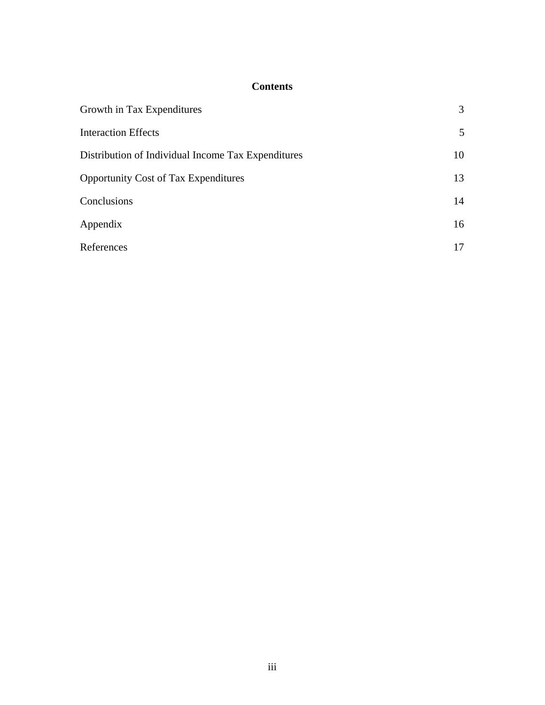# **Contents**

| Growth in Tax Expenditures                         | 3  |
|----------------------------------------------------|----|
| <b>Interaction Effects</b>                         | 5  |
| Distribution of Individual Income Tax Expenditures | 10 |
| <b>Opportunity Cost of Tax Expenditures</b>        | 13 |
| Conclusions                                        | 14 |
| Appendix                                           | 16 |
| References                                         | 17 |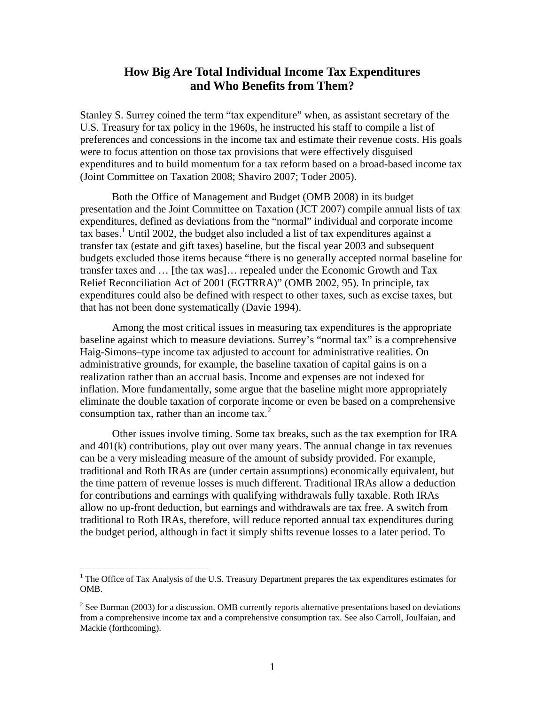# **How Big Are Total Individual Income Tax Expenditures and Who Benefits from Them?**

Stanley S. Surrey coined the term "tax expenditure" when, as assistant secretary of the U.S. Treasury for tax policy in the 1960s, he instructed his staff to compile a list of preferences and concessions in the income tax and estimate their revenue costs. His goals were to focus attention on those tax provisions that were effectively disguised expenditures and to build momentum for a tax reform based on a broad-based income tax (Joint Committee on Taxation 2008; Shaviro 2007; Toder 2005).

Both the Office of Management and Budget (OMB 2008) in its budget presentation and the Joint Committee on Taxation (JCT 2007) compile annual lists of tax expenditures, defined as deviations from the "normal" individual and corporate income tax bases.<sup>1</sup> Until 2002, the budget also included a list of tax expenditures against a transfer tax (estate and gift taxes) baseline, but the fiscal year 2003 and subsequent budgets excluded those items because "there is no generally accepted normal baseline for transfer taxes and … [the tax was]… repealed under the Economic Growth and Tax Relief Reconciliation Act of 2001 (EGTRRA)" (OMB 2002, 95). In principle, tax expenditures could also be defined with respect to other taxes, such as excise taxes, but that has not been done systematically (Davie 1994).

Among the most critical issues in measuring tax expenditures is the appropriate baseline against which to measure deviations. Surrey's "normal tax" is a comprehensive Haig-Simons–type income tax adjusted to account for administrative realities. On administrative grounds, for example, the baseline taxation of capital gains is on a realization rather than an accrual basis. Income and expenses are not indexed for inflation. More fundamentally, some argue that the baseline might more appropriately eliminate the double taxation of corporate income or even be based on a comprehensive consumption tax, rather than an income tax.<sup>2</sup>

Other issues involve timing. Some tax breaks, such as the tax exemption for IRA and 401(k) contributions, play out over many years. The annual change in tax revenues can be a very misleading measure of the amount of subsidy provided. For example, traditional and Roth IRAs are (under certain assumptions) economically equivalent, but the time pattern of revenue losses is much different. Traditional IRAs allow a deduction for contributions and earnings with qualifying withdrawals fully taxable. Roth IRAs allow no up-front deduction, but earnings and withdrawals are tax free. A switch from traditional to Roth IRAs, therefore, will reduce reported annual tax expenditures during the budget period, although in fact it simply shifts revenue losses to a later period. To

1

<sup>&</sup>lt;sup>1</sup> The Office of Tax Analysis of the U.S. Treasury Department prepares the tax expenditures estimates for OMB.

 $2^2$  See Burman (2003) for a discussion. OMB currently reports alternative presentations based on deviations from a comprehensive income tax and a comprehensive consumption tax. See also Carroll, Joulfaian, and Mackie (forthcoming).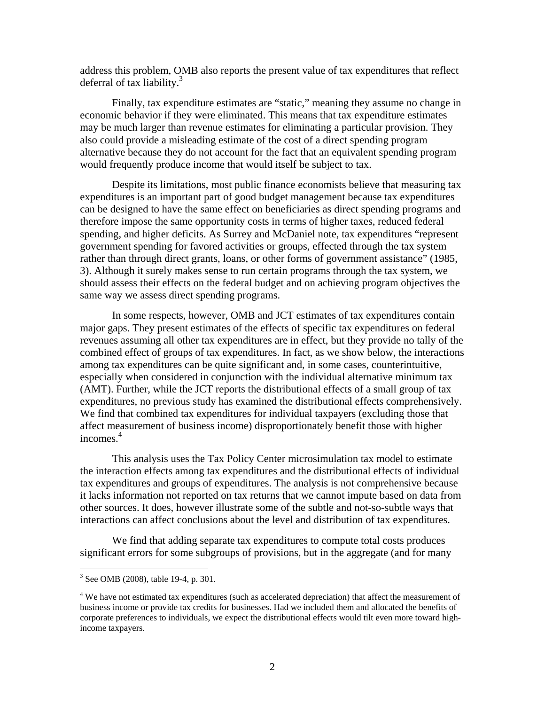address this problem, OMB also reports the present value of tax expenditures that reflect deferral of tax liability. $3$ 

Finally, tax expenditure estimates are "static," meaning they assume no change in economic behavior if they were eliminated. This means that tax expenditure estimates may be much larger than revenue estimates for eliminating a particular provision. They also could provide a misleading estimate of the cost of a direct spending program alternative because they do not account for the fact that an equivalent spending program would frequently produce income that would itself be subject to tax.

Despite its limitations, most public finance economists believe that measuring tax expenditures is an important part of good budget management because tax expenditures can be designed to have the same effect on beneficiaries as direct spending programs and therefore impose the same opportunity costs in terms of higher taxes, reduced federal spending, and higher deficits. As Surrey and McDaniel note, tax expenditures "represent government spending for favored activities or groups, effected through the tax system rather than through direct grants, loans, or other forms of government assistance" (1985, 3). Although it surely makes sense to run certain programs through the tax system, we should assess their effects on the federal budget and on achieving program objectives the same way we assess direct spending programs.

In some respects, however, OMB and JCT estimates of tax expenditures contain major gaps. They present estimates of the effects of specific tax expenditures on federal revenues assuming all other tax expenditures are in effect, but they provide no tally of the combined effect of groups of tax expenditures. In fact, as we show below, the interactions among tax expenditures can be quite significant and, in some cases, counterintuitive, especially when considered in conjunction with the individual alternative minimum tax (AMT). Further, while the JCT reports the distributional effects of a small group of tax expenditures, no previous study has examined the distributional effects comprehensively. We find that combined tax expenditures for individual taxpayers (excluding those that affect measurement of business income) disproportionately benefit those with higher incomes.<sup>4</sup>

This analysis uses the Tax Policy Center microsimulation tax model to estimate the interaction effects among tax expenditures and the distributional effects of individual tax expenditures and groups of expenditures. The analysis is not comprehensive because it lacks information not reported on tax returns that we cannot impute based on data from other sources. It does, however illustrate some of the subtle and not-so-subtle ways that interactions can affect conclusions about the level and distribution of tax expenditures.

We find that adding separate tax expenditures to compute total costs produces significant errors for some subgroups of provisions, but in the aggregate (and for many

 3 See OMB (2008), table 19-4, p. 301.

<sup>&</sup>lt;sup>4</sup> We have not estimated tax expenditures (such as accelerated depreciation) that affect the measurement of business income or provide tax credits for businesses. Had we included them and allocated the benefits of corporate preferences to individuals, we expect the distributional effects would tilt even more toward highincome taxpayers.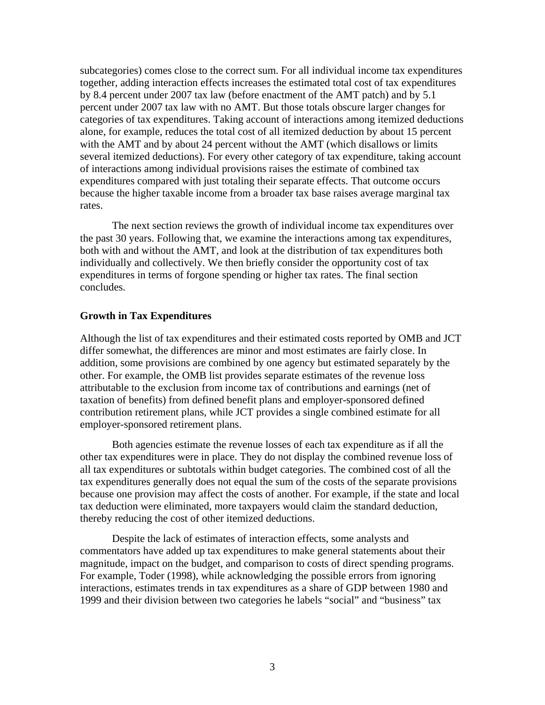subcategories) comes close to the correct sum. For all individual income tax expenditures together, adding interaction effects increases the estimated total cost of tax expenditures by 8.4 percent under 2007 tax law (before enactment of the AMT patch) and by 5.1 percent under 2007 tax law with no AMT. But those totals obscure larger changes for categories of tax expenditures. Taking account of interactions among itemized deductions alone, for example, reduces the total cost of all itemized deduction by about 15 percent with the AMT and by about 24 percent without the AMT (which disallows or limits several itemized deductions). For every other category of tax expenditure, taking account of interactions among individual provisions raises the estimate of combined tax expenditures compared with just totaling their separate effects. That outcome occurs because the higher taxable income from a broader tax base raises average marginal tax rates.

The next section reviews the growth of individual income tax expenditures over the past 30 years. Following that, we examine the interactions among tax expenditures, both with and without the AMT, and look at the distribution of tax expenditures both individually and collectively. We then briefly consider the opportunity cost of tax expenditures in terms of forgone spending or higher tax rates. The final section concludes.

## **Growth in Tax Expenditures**

Although the list of tax expenditures and their estimated costs reported by OMB and JCT differ somewhat, the differences are minor and most estimates are fairly close. In addition, some provisions are combined by one agency but estimated separately by the other. For example, the OMB list provides separate estimates of the revenue loss attributable to the exclusion from income tax of contributions and earnings (net of taxation of benefits) from defined benefit plans and employer-sponsored defined contribution retirement plans, while JCT provides a single combined estimate for all employer-sponsored retirement plans.

Both agencies estimate the revenue losses of each tax expenditure as if all the other tax expenditures were in place. They do not display the combined revenue loss of all tax expenditures or subtotals within budget categories. The combined cost of all the tax expenditures generally does not equal the sum of the costs of the separate provisions because one provision may affect the costs of another. For example, if the state and local tax deduction were eliminated, more taxpayers would claim the standard deduction, thereby reducing the cost of other itemized deductions.

Despite the lack of estimates of interaction effects, some analysts and commentators have added up tax expenditures to make general statements about their magnitude, impact on the budget, and comparison to costs of direct spending programs. For example, Toder (1998), while acknowledging the possible errors from ignoring interactions, estimates trends in tax expenditures as a share of GDP between 1980 and 1999 and their division between two categories he labels "social" and "business" tax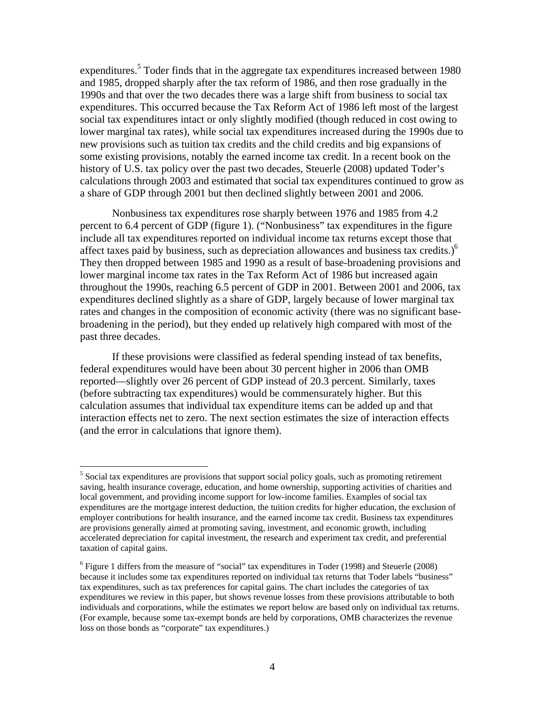expenditures.<sup>5</sup> Toder finds that in the aggregate tax expenditures increased between 1980 and 1985, dropped sharply after the tax reform of 1986, and then rose gradually in the 1990s and that over the two decades there was a large shift from business to social tax expenditures. This occurred because the Tax Reform Act of 1986 left most of the largest social tax expenditures intact or only slightly modified (though reduced in cost owing to lower marginal tax rates), while social tax expenditures increased during the 1990s due to new provisions such as tuition tax credits and the child credits and big expansions of some existing provisions, notably the earned income tax credit. In a recent book on the history of U.S. tax policy over the past two decades, Steuerle (2008) updated Toder's calculations through 2003 and estimated that social tax expenditures continued to grow as a share of GDP through 2001 but then declined slightly between 2001 and 2006.

Nonbusiness tax expenditures rose sharply between 1976 and 1985 from 4.2 percent to 6.4 percent of GDP (figure 1). ("Nonbusiness" tax expenditures in the figure include all tax expenditures reported on individual income tax returns except those that affect taxes paid by business, such as depreciation allowances and business tax credits.)<sup>6</sup> They then dropped between 1985 and 1990 as a result of base-broadening provisions and lower marginal income tax rates in the Tax Reform Act of 1986 but increased again throughout the 1990s, reaching 6.5 percent of GDP in 2001. Between 2001 and 2006, tax expenditures declined slightly as a share of GDP, largely because of lower marginal tax rates and changes in the composition of economic activity (there was no significant basebroadening in the period), but they ended up relatively high compared with most of the past three decades.

If these provisions were classified as federal spending instead of tax benefits, federal expenditures would have been about 30 percent higher in 2006 than OMB reported—slightly over 26 percent of GDP instead of 20.3 percent. Similarly, taxes (before subtracting tax expenditures) would be commensurately higher. But this calculation assumes that individual tax expenditure items can be added up and that interaction effects net to zero. The next section estimates the size of interaction effects (and the error in calculations that ignore them).

1

<sup>&</sup>lt;sup>5</sup> Social tax expenditures are provisions that support social policy goals, such as promoting retirement saving, health insurance coverage, education, and home ownership, supporting activities of charities and local government, and providing income support for low-income families. Examples of social tax expenditures are the mortgage interest deduction, the tuition credits for higher education, the exclusion of employer contributions for health insurance, and the earned income tax credit. Business tax expenditures are provisions generally aimed at promoting saving, investment, and economic growth, including accelerated depreciation for capital investment, the research and experiment tax credit, and preferential taxation of capital gains.

 $<sup>6</sup>$  Figure 1 differs from the measure of "social" tax expenditures in Toder (1998) and Steuerle (2008)</sup> because it includes some tax expenditures reported on individual tax returns that Toder labels "business" tax expenditures, such as tax preferences for capital gains. The chart includes the categories of tax expenditures we review in this paper, but shows revenue losses from these provisions attributable to both individuals and corporations, while the estimates we report below are based only on individual tax returns. (For example, because some tax-exempt bonds are held by corporations, OMB characterizes the revenue loss on those bonds as "corporate" tax expenditures.)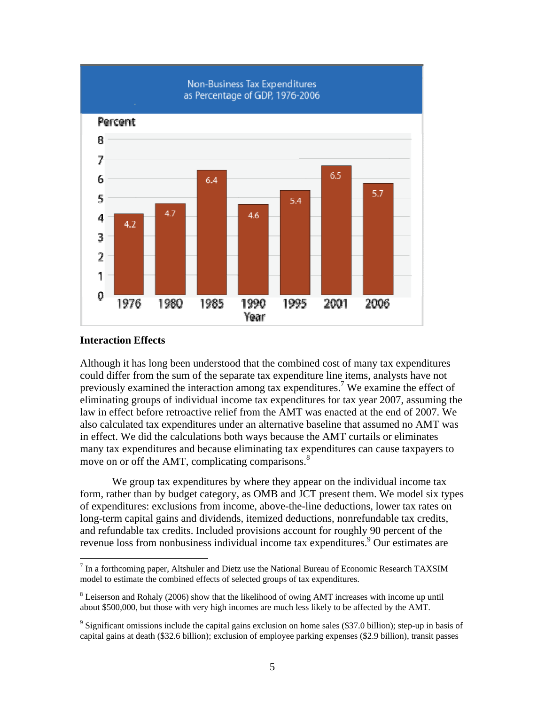

# **Interaction Effects**

1

Although it has long been understood that the combined cost of many tax expenditures could differ from the sum of the separate tax expenditure line items, analysts have not previously examined the interaction among tax expenditures.<sup>7</sup> We examine the effect of eliminating groups of individual income tax expenditures for tax year 2007, assuming the law in effect before retroactive relief from the AMT was enacted at the end of 2007. We also calculated tax expenditures under an alternative baseline that assumed no AMT was in effect. We did the calculations both ways because the AMT curtails or eliminates many tax expenditures and because eliminating tax expenditures can cause taxpayers to move on or off the AMT, complicating comparisons. $8<sup>8</sup>$ 

We group tax expenditures by where they appear on the individual income tax form, rather than by budget category, as OMB and JCT present them. We model six types of expenditures: exclusions from income, above-the-line deductions, lower tax rates on long-term capital gains and dividends, itemized deductions, nonrefundable tax credits, and refundable tax credits. Included provisions account for roughly 90 percent of the revenue loss from nonbusiness individual income tax expenditures.<sup>9</sup> Our estimates are

 $<sup>7</sup>$  In a forthcoming paper, Altshuler and Dietz use the National Bureau of Economic Research TAXSIM</sup> model to estimate the combined effects of selected groups of tax expenditures.

 $8$  Leiserson and Rohaly (2006) show that the likelihood of owing AMT increases with income up until about \$500,000, but those with very high incomes are much less likely to be affected by the AMT.

<sup>&</sup>lt;sup>9</sup> Significant omissions include the capital gains exclusion on home sales (\$37.0 billion); step-up in basis of capital gains at death (\$32.6 billion); exclusion of employee parking expenses (\$2.9 billion), transit passes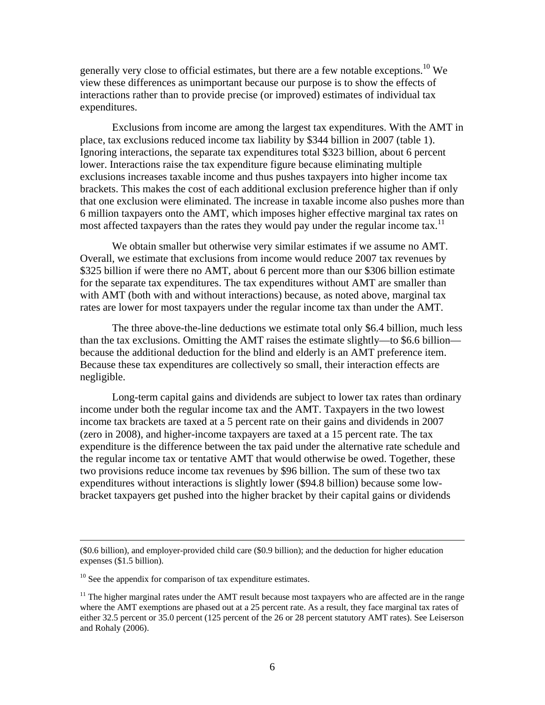generally very close to official estimates, but there are a few notable exceptions.<sup>10</sup> We view these differences as unimportant because our purpose is to show the effects of interactions rather than to provide precise (or improved) estimates of individual tax expenditures.

Exclusions from income are among the largest tax expenditures. With the AMT in place, tax exclusions reduced income tax liability by \$344 billion in 2007 (table 1). Ignoring interactions, the separate tax expenditures total \$323 billion, about 6 percent lower. Interactions raise the tax expenditure figure because eliminating multiple exclusions increases taxable income and thus pushes taxpayers into higher income tax brackets. This makes the cost of each additional exclusion preference higher than if only that one exclusion were eliminated. The increase in taxable income also pushes more than 6 million taxpayers onto the AMT, which imposes higher effective marginal tax rates on most affected taxpayers than the rates they would pay under the regular income tax.<sup>11</sup>

We obtain smaller but otherwise very similar estimates if we assume no AMT. Overall, we estimate that exclusions from income would reduce 2007 tax revenues by \$325 billion if were there no AMT, about 6 percent more than our \$306 billion estimate for the separate tax expenditures. The tax expenditures without AMT are smaller than with AMT (both with and without interactions) because, as noted above, marginal tax rates are lower for most taxpayers under the regular income tax than under the AMT.

The three above-the-line deductions we estimate total only \$6.4 billion, much less than the tax exclusions. Omitting the AMT raises the estimate slightly—to \$6.6 billion because the additional deduction for the blind and elderly is an AMT preference item. Because these tax expenditures are collectively so small, their interaction effects are negligible.

Long-term capital gains and dividends are subject to lower tax rates than ordinary income under both the regular income tax and the AMT. Taxpayers in the two lowest income tax brackets are taxed at a 5 percent rate on their gains and dividends in 2007 (zero in 2008), and higher-income taxpayers are taxed at a 15 percent rate. The tax expenditure is the difference between the tax paid under the alternative rate schedule and the regular income tax or tentative AMT that would otherwise be owed. Together, these two provisions reduce income tax revenues by \$96 billion. The sum of these two tax expenditures without interactions is slightly lower (\$94.8 billion) because some lowbracket taxpayers get pushed into the higher bracket by their capital gains or dividends

 <sup>(\$0.6</sup> billion), and employer-provided child care (\$0.9 billion); and the deduction for higher education expenses (\$1.5 billion).

 $10$  See the appendix for comparison of tax expenditure estimates.

 $<sup>11</sup>$  The higher marginal rates under the AMT result because most taxpayers who are affected are in the range</sup> where the AMT exemptions are phased out at a 25 percent rate. As a result, they face marginal tax rates of either 32.5 percent or 35.0 percent (125 percent of the 26 or 28 percent statutory AMT rates). See Leiserson and Rohaly (2006).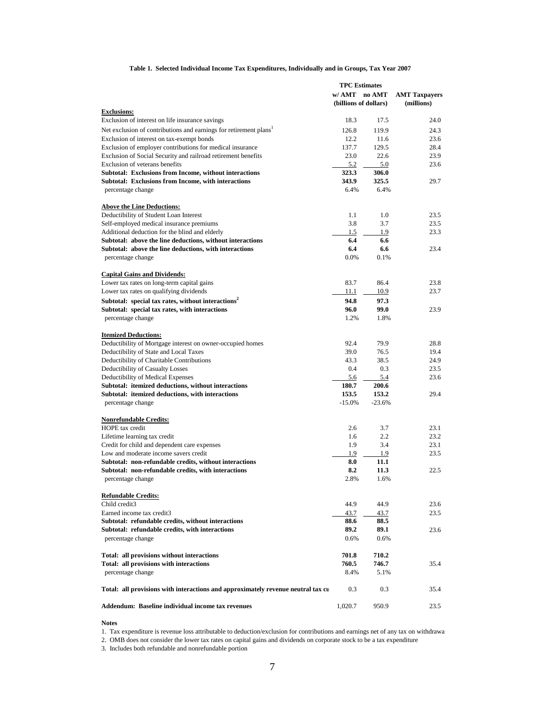### **Table 1. Selected Individual Income Tax Expenditures, Individually and in Groups, Tax Year 2007**

|                                                                                  | <b>TPC</b> Estimates |                       |                      |
|----------------------------------------------------------------------------------|----------------------|-----------------------|----------------------|
|                                                                                  | w/ AMT               | no AMT                | <b>AMT Taxpayers</b> |
|                                                                                  |                      | (billions of dollars) | (millions)           |
| <b>Exclusions:</b>                                                               |                      |                       |                      |
| Exclusion of interest on life insurance savings                                  | 18.3                 | 17.5                  | 24.0                 |
| Net exclusion of contributions and earnings for retirement plans <sup>1</sup>    | 126.8                | 119.9                 | 24.3                 |
| Exclusion of interest on tax-exempt bonds                                        | 12.2                 | 11.6                  | 23.6                 |
| Exclusion of employer contributions for medical insurance                        | 137.7                | 129.5                 | 28.4                 |
| Exclusion of Social Security and railroad retirement benefits                    | 23.0                 | 22.6                  | 23.9                 |
| Exclusion of veterans benefits                                                   | 5.2                  | 5.0                   | 23.6                 |
| <b>Subtotal: Exclusions from Income, without interactions</b>                    | 323.3                | 306.0                 |                      |
| <b>Subtotal: Exclusions from Income, with interactions</b>                       | 343.9                | 325.5                 | 29.7                 |
|                                                                                  | 6.4%                 | 6.4%                  |                      |
| percentage change                                                                |                      |                       |                      |
| <b>Above the Line Deductions:</b>                                                |                      |                       |                      |
| Deductibility of Student Loan Interest                                           | 1.1                  | 1.0                   | 23.5                 |
| Self-employed medical insurance premiums                                         | 3.8                  | 3.7                   | 23.5                 |
|                                                                                  |                      |                       | 23.3                 |
| Additional deduction for the blind and elderly                                   | 1.5                  | 1.9                   |                      |
| Subtotal: above the line deductions, without interactions                        | 6.4                  | 6.6                   |                      |
| Subtotal: above the line deductions, with interactions                           | 6.4                  | 6.6                   | 23.4                 |
| percentage change                                                                | 0.0%                 | 0.1%                  |                      |
|                                                                                  |                      |                       |                      |
| <b>Capital Gains and Dividends:</b>                                              |                      |                       |                      |
| Lower tax rates on long-term capital gains                                       | 83.7                 | 86.4                  | 23.8                 |
| Lower tax rates on qualifying dividends                                          | 11.1                 | 10.9                  | 23.7                 |
| Subtotal: special tax rates, without interactions <sup>2</sup>                   | 94.8                 | 97.3                  |                      |
| Subtotal: special tax rates, with interactions                                   | 96.0                 | 99.0                  | 23.9                 |
| percentage change                                                                | 1.2%                 | 1.8%                  |                      |
|                                                                                  |                      |                       |                      |
| <b>Itemized Deductions:</b>                                                      |                      |                       |                      |
| Deductibility of Mortgage interest on owner-occupied homes                       | 92.4                 | 79.9                  | 28.8                 |
| Deductibility of State and Local Taxes                                           | 39.0                 | 76.5                  | 19.4                 |
| Deductibility of Charitable Contributions                                        | 43.3                 | 38.5                  | 24.9                 |
| Deductibility of Casualty Losses                                                 | 0.4                  | 0.3                   | 23.5                 |
| Deductibility of Medical Expenses                                                | 5.6                  | 5.4                   | 23.6                 |
| Subtotal: itemized deductions, without interactions                              | 180.7                | 200.6                 |                      |
| Subtotal: itemized deductions, with interactions                                 | 153.5                | 153.2                 | 29.4                 |
| percentage change                                                                | $-15.0%$             | $-23.6%$              |                      |
|                                                                                  |                      |                       |                      |
| <b>Nonrefundable Credits:</b>                                                    |                      |                       |                      |
| HOPE tax credit                                                                  | 2.6                  | 3.7                   | 23.1                 |
| Lifetime learning tax credit                                                     | 1.6                  | 2.2                   | 23.2                 |
| Credit for child and dependent care expenses                                     | 1.9                  | 3.4                   | 23.1                 |
| Low and moderate income savers credit                                            | 1.9                  | 1.9                   | 23.5                 |
| Subtotal: non-refundable credits, without interactions                           | 8.0                  | 11.1                  |                      |
| Subtotal: non-refundable credits, with interactions                              | 8.2                  | 11.3                  | 22.5                 |
| percentage change                                                                | 2.8%                 | 1.6%                  |                      |
|                                                                                  |                      |                       |                      |
| <b>Refundable Credits:</b>                                                       |                      |                       |                      |
| Child credit3                                                                    | 44.9                 | 44.9                  | 23.6                 |
| Earned income tax credit3                                                        | 43.7                 | 43.7                  | 23.5                 |
| Subtotal: refundable credits, without interactions                               | 88.6                 | 88.5                  |                      |
| Subtotal: refundable credits, with interactions                                  | 89.2                 | 89.1                  | 23.6                 |
|                                                                                  | 0.6%                 | 0.6%                  |                      |
| percentage change                                                                |                      |                       |                      |
| Total: all provisions without interactions                                       |                      |                       |                      |
|                                                                                  | 701.8                | 710.2                 |                      |
| Total: all provisions with interactions                                          | 760.5                | 746.7                 | 35.4                 |
| percentage change                                                                | 8.4%                 | 5.1%                  |                      |
|                                                                                  |                      |                       |                      |
| Total: all provisions with interactions and approximately revenue neutral tax cu | 0.3                  | 0.3                   | 35.4                 |
|                                                                                  |                      |                       |                      |
| Addendum: Baseline individual income tax revenues                                | 1,020.7              | 950.9                 | 23.5                 |

**Notes**

1. Tax expenditure is revenue loss attributable to deduction/exclusion for contributions and earnings net of any tax on withdrawa

2. OMB does not consider the lower tax rates on capital gains and dividends on corporate stock to be a tax expenditure

3. Includes both refundable and nonrefundable portion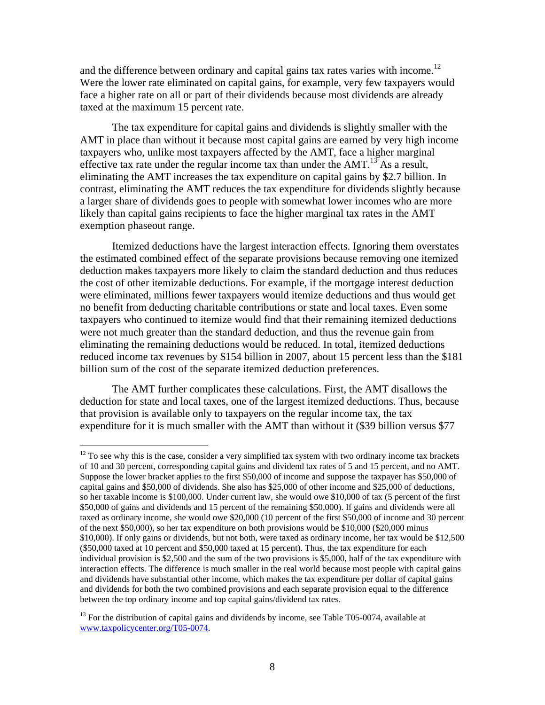and the difference between ordinary and capital gains tax rates varies with income.<sup>12</sup> Were the lower rate eliminated on capital gains, for example, very few taxpayers would face a higher rate on all or part of their dividends because most dividends are already taxed at the maximum 15 percent rate.

The tax expenditure for capital gains and dividends is slightly smaller with the AMT in place than without it because most capital gains are earned by very high income taxpayers who, unlike most taxpayers affected by the AMT, face a higher marginal effective tax rate under the regular income tax than under the  $AMT$ .<sup>13</sup> As a result, eliminating the AMT increases the tax expenditure on capital gains by \$2.7 billion. In contrast, eliminating the AMT reduces the tax expenditure for dividends slightly because a larger share of dividends goes to people with somewhat lower incomes who are more likely than capital gains recipients to face the higher marginal tax rates in the AMT exemption phaseout range.

Itemized deductions have the largest interaction effects. Ignoring them overstates the estimated combined effect of the separate provisions because removing one itemized deduction makes taxpayers more likely to claim the standard deduction and thus reduces the cost of other itemizable deductions. For example, if the mortgage interest deduction were eliminated, millions fewer taxpayers would itemize deductions and thus would get no benefit from deducting charitable contributions or state and local taxes. Even some taxpayers who continued to itemize would find that their remaining itemized deductions were not much greater than the standard deduction, and thus the revenue gain from eliminating the remaining deductions would be reduced. In total, itemized deductions reduced income tax revenues by \$154 billion in 2007, about 15 percent less than the \$181 billion sum of the cost of the separate itemized deduction preferences.

The AMT further complicates these calculations. First, the AMT disallows the deduction for state and local taxes, one of the largest itemized deductions. Thus, because that provision is available only to taxpayers on the regular income tax, the tax expenditure for it is much smaller with the AMT than without it (\$39 billion versus \$77

1

 $12$  To see why this is the case, consider a very simplified tax system with two ordinary income tax brackets of 10 and 30 percent, corresponding capital gains and dividend tax rates of 5 and 15 percent, and no AMT. Suppose the lower bracket applies to the first \$50,000 of income and suppose the taxpayer has \$50,000 of capital gains and \$50,000 of dividends. She also has \$25,000 of other income and \$25,000 of deductions, so her taxable income is \$100,000. Under current law, she would owe \$10,000 of tax (5 percent of the first \$50,000 of gains and dividends and 15 percent of the remaining \$50,000). If gains and dividends were all taxed as ordinary income, she would owe \$20,000 (10 percent of the first \$50,000 of income and 30 percent of the next \$50,000), so her tax expenditure on both provisions would be \$10,000 (\$20,000 minus \$10,000). If only gains or dividends, but not both, were taxed as ordinary income, her tax would be \$12,500 (\$50,000 taxed at 10 percent and \$50,000 taxed at 15 percent). Thus, the tax expenditure for each individual provision is \$2,500 and the sum of the two provisions is \$5,000, half of the tax expenditure with interaction effects. The difference is much smaller in the real world because most people with capital gains and dividends have substantial other income, which makes the tax expenditure per dollar of capital gains and dividends for both the two combined provisions and each separate provision equal to the difference between the top ordinary income and top capital gains/dividend tax rates.

 $13$  For the distribution of capital gains and dividends by income, see Table T05-0074, available at www.taxpolicycenter.org/T05-0074.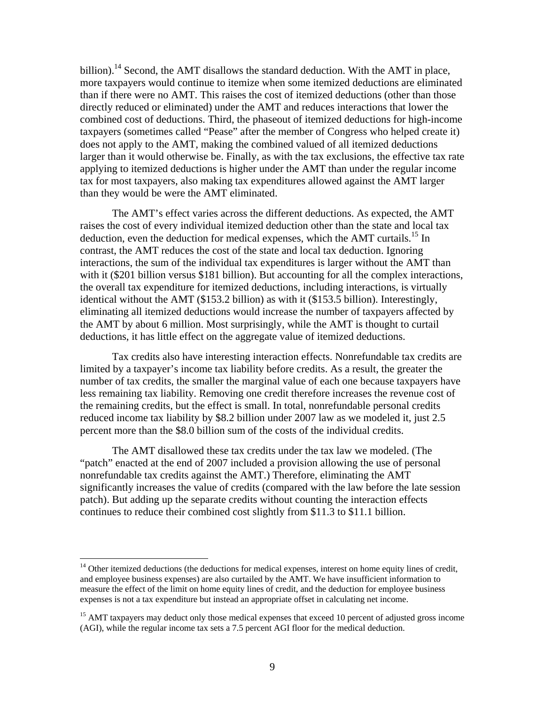billion).<sup>14</sup> Second, the AMT disallows the standard deduction. With the AMT in place, more taxpayers would continue to itemize when some itemized deductions are eliminated than if there were no AMT. This raises the cost of itemized deductions (other than those directly reduced or eliminated) under the AMT and reduces interactions that lower the combined cost of deductions. Third, the phaseout of itemized deductions for high-income taxpayers (sometimes called "Pease" after the member of Congress who helped create it) does not apply to the AMT, making the combined valued of all itemized deductions larger than it would otherwise be. Finally, as with the tax exclusions, the effective tax rate applying to itemized deductions is higher under the AMT than under the regular income tax for most taxpayers, also making tax expenditures allowed against the AMT larger than they would be were the AMT eliminated.

The AMT's effect varies across the different deductions. As expected, the AMT raises the cost of every individual itemized deduction other than the state and local tax deduction, even the deduction for medical expenses, which the AMT curtails.<sup>15</sup> In contrast, the AMT reduces the cost of the state and local tax deduction. Ignoring interactions, the sum of the individual tax expenditures is larger without the AMT than with it (\$201 billion versus \$181 billion). But accounting for all the complex interactions, the overall tax expenditure for itemized deductions, including interactions, is virtually identical without the AMT (\$153.2 billion) as with it (\$153.5 billion). Interestingly, eliminating all itemized deductions would increase the number of taxpayers affected by the AMT by about 6 million. Most surprisingly, while the AMT is thought to curtail deductions, it has little effect on the aggregate value of itemized deductions.

Tax credits also have interesting interaction effects. Nonrefundable tax credits are limited by a taxpayer's income tax liability before credits. As a result, the greater the number of tax credits, the smaller the marginal value of each one because taxpayers have less remaining tax liability. Removing one credit therefore increases the revenue cost of the remaining credits, but the effect is small. In total, nonrefundable personal credits reduced income tax liability by \$8.2 billion under 2007 law as we modeled it, just 2.5 percent more than the \$8.0 billion sum of the costs of the individual credits.

The AMT disallowed these tax credits under the tax law we modeled. (The "patch" enacted at the end of 2007 included a provision allowing the use of personal nonrefundable tax credits against the AMT.) Therefore, eliminating the AMT significantly increases the value of credits (compared with the law before the late session patch). But adding up the separate credits without counting the interaction effects continues to reduce their combined cost slightly from \$11.3 to \$11.1 billion.

 $\overline{a}$ 

<sup>&</sup>lt;sup>14</sup> Other itemized deductions (the deductions for medical expenses, interest on home equity lines of credit, and employee business expenses) are also curtailed by the AMT. We have insufficient information to measure the effect of the limit on home equity lines of credit, and the deduction for employee business expenses is not a tax expenditure but instead an appropriate offset in calculating net income.

<sup>&</sup>lt;sup>15</sup> AMT taxpayers may deduct only those medical expenses that exceed 10 percent of adjusted gross income (AGI), while the regular income tax sets a 7.5 percent AGI floor for the medical deduction.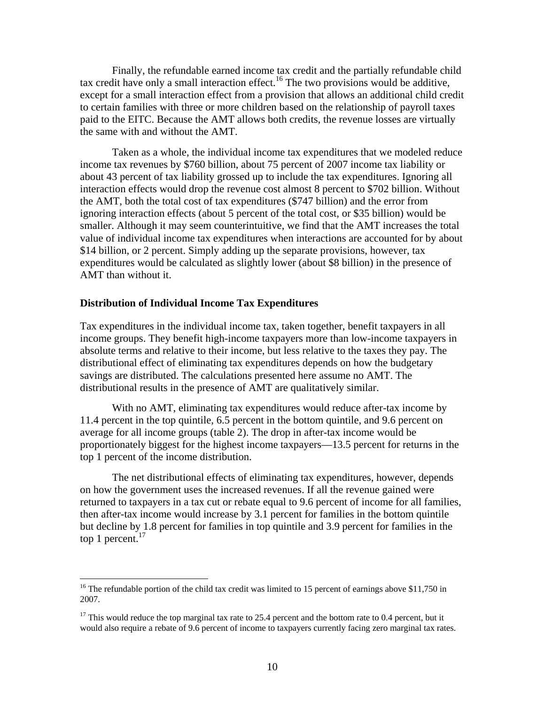Finally, the refundable earned income tax credit and the partially refundable child tax credit have only a small interaction effect.<sup>16</sup> The two provisions would be additive, except for a small interaction effect from a provision that allows an additional child credit to certain families with three or more children based on the relationship of payroll taxes paid to the EITC. Because the AMT allows both credits, the revenue losses are virtually the same with and without the AMT.

Taken as a whole, the individual income tax expenditures that we modeled reduce income tax revenues by \$760 billion, about 75 percent of 2007 income tax liability or about 43 percent of tax liability grossed up to include the tax expenditures. Ignoring all interaction effects would drop the revenue cost almost 8 percent to \$702 billion. Without the AMT, both the total cost of tax expenditures (\$747 billion) and the error from ignoring interaction effects (about 5 percent of the total cost, or \$35 billion) would be smaller. Although it may seem counterintuitive, we find that the AMT increases the total value of individual income tax expenditures when interactions are accounted for by about \$14 billion, or 2 percent. Simply adding up the separate provisions, however, tax expenditures would be calculated as slightly lower (about \$8 billion) in the presence of AMT than without it.

## **Distribution of Individual Income Tax Expenditures**

 $\overline{a}$ 

Tax expenditures in the individual income tax, taken together, benefit taxpayers in all income groups. They benefit high-income taxpayers more than low-income taxpayers in absolute terms and relative to their income, but less relative to the taxes they pay. The distributional effect of eliminating tax expenditures depends on how the budgetary savings are distributed. The calculations presented here assume no AMT. The distributional results in the presence of AMT are qualitatively similar.

With no AMT, eliminating tax expenditures would reduce after-tax income by 11.4 percent in the top quintile, 6.5 percent in the bottom quintile, and 9.6 percent on average for all income groups (table 2). The drop in after-tax income would be proportionately biggest for the highest income taxpayers—13.5 percent for returns in the top 1 percent of the income distribution.

The net distributional effects of eliminating tax expenditures, however, depends on how the government uses the increased revenues. If all the revenue gained were returned to taxpayers in a tax cut or rebate equal to 9.6 percent of income for all families, then after-tax income would increase by 3.1 percent for families in the bottom quintile but decline by 1.8 percent for families in top quintile and 3.9 percent for families in the top 1 percent. $17$ 

<sup>&</sup>lt;sup>16</sup> The refundable portion of the child tax credit was limited to 15 percent of earnings above \$11,750 in 2007.

 $17$  This would reduce the top marginal tax rate to 25.4 percent and the bottom rate to 0.4 percent, but it would also require a rebate of 9.6 percent of income to taxpayers currently facing zero marginal tax rates.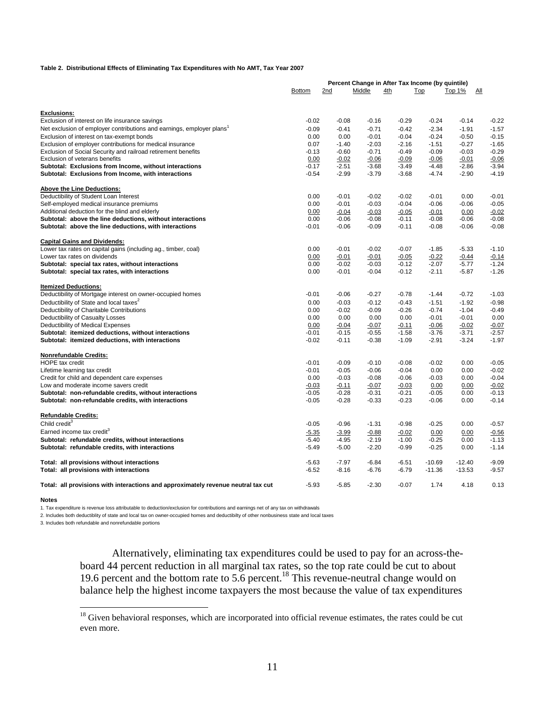#### **Table 2. Distributional Effects of Eliminating Tax Expenditures with No AMT, Tax Year 2007**

|                                                                                                 | Percent Change in After Tax Income (by quintile) |                    |                    |                    |                 |               |                    |
|-------------------------------------------------------------------------------------------------|--------------------------------------------------|--------------------|--------------------|--------------------|-----------------|---------------|--------------------|
|                                                                                                 | <b>Bottom</b>                                    | 2nd                | Middle             | <u>4th</u>         | <b>Top</b>      | <u>Top 1%</u> | Δll                |
|                                                                                                 |                                                  |                    |                    |                    |                 |               |                    |
| <b>Exclusions:</b><br>Exclusion of interest on life insurance savings                           | $-0.02$                                          | $-0.08$            | $-0.16$            | $-0.29$            | $-0.24$         | $-0.14$       | $-0.22$            |
| Net exclusion of employer contributions and earnings, employer plans <sup>1</sup>               | $-0.09$                                          | $-0.41$            | $-0.71$            | $-0.42$            | $-2.34$         | $-1.91$       | $-1.57$            |
| Exclusion of interest on tax-exempt bonds                                                       | 0.00                                             | 0.00               | $-0.01$            | $-0.04$            | $-0.24$         | $-0.50$       | $-0.15$            |
| Exclusion of employer contributions for medical insurance                                       | 0.07                                             | $-1.40$            | $-2.03$            | $-2.16$            | $-1.51$         | $-0.27$       | $-1.65$            |
| Exclusion of Social Security and railroad retirement benefits                                   | $-0.13$                                          | $-0.60$            | $-0.71$            | $-0.49$            | $-0.09$         | $-0.03$       | $-0.29$            |
| <b>Exclusion of veterans benefits</b>                                                           | 0.00                                             | $-0.02$            | $-0.06$            | $-0.09$            | $-0.06$         | $-0.01$       | $-0.06$            |
| Subtotal: Exclusions from Income, without interactions                                          | $-0.17$                                          | $-2.51$            | $-3.68$            | $-3.49$            | $-4.48$         | $-2.86$       | $-3.94$            |
| Subtotal: Exclusions from Income, with interactions                                             | $-0.54$                                          | $-2.99$            | $-3.79$            | $-3.68$            | $-4.74$         | $-2.90$       | $-4.19$            |
| <b>Above the Line Deductions:</b>                                                               |                                                  |                    |                    |                    |                 |               |                    |
| Deductibility of Student Loan Interest                                                          | 0.00                                             | $-0.01$            | $-0.02$            | $-0.02$            | $-0.01$         | 0.00          | $-0.01$            |
| Self-employed medical insurance premiums                                                        | 0.00                                             | $-0.01$            | $-0.03$            | $-0.04$            | $-0.06$         | $-0.06$       | $-0.05$            |
| Additional deduction for the blind and elderly                                                  | 0.00                                             | $-0.04$            | $-0.03$            | $-0.05$            | $-0.01$         | 0.00          | $-0.02$            |
| Subtotal: above the line deductions, without interactions                                       | 0.00                                             | $-0.06$            | $-0.08$            | $-0.11$            | $-0.08$         | $-0.06$       | $-0.08$            |
| Subtotal: above the line deductions, with interactions                                          | $-0.01$                                          | $-0.06$            | $-0.09$            | $-0.11$            | $-0.08$         | $-0.06$       | $-0.08$            |
| <b>Capital Gains and Dividends:</b>                                                             |                                                  |                    |                    |                    |                 |               |                    |
| Lower tax rates on capital gains (including ag., timber, coal)                                  | 0.00                                             | $-0.01$            | $-0.02$            | $-0.07$            | $-1.85$         | $-5.33$       | $-1.10$            |
| Lower tax rates on dividends                                                                    | 0.00                                             | $-0.01$            | $-0.01$            | $-0.05$            | $-0.22$         | $-0.44$       | $-0.14$            |
| Subtotal: special tax rates, without interactions                                               | 0.00                                             | -0.02              | $-0.03$            | $-0.12$            | $-2.07$         | $-5.77$       | $-1.24$            |
| Subtotal: special tax rates, with interactions                                                  | 0.00                                             | $-0.01$            | $-0.04$            | $-0.12$            | $-2.11$         | $-5.87$       | $-1.26$            |
| <b>Itemized Deductions:</b>                                                                     |                                                  |                    |                    |                    |                 |               |                    |
| Deductibility of Mortgage interest on owner-occupied homes                                      | $-0.01$                                          | $-0.06$            | $-0.27$            | $-0.78$            | $-1.44$         | $-0.72$       | $-1.03$            |
| Deductibility of State and local taxes <sup>2</sup>                                             | 0.00                                             | $-0.03$            | $-0.12$            | $-0.43$            | $-1.51$         | $-1.92$       | $-0.98$            |
| Deductibility of Charitable Contributions                                                       | 0.00                                             | $-0.02$            | $-0.09$            | $-0.26$            | $-0.74$         | $-1.04$       | $-0.49$            |
| Deductibility of Casualty Losses                                                                | 0.00                                             | 0.00               | 0.00               | 0.00               | $-0.01$         | $-0.01$       | 0.00               |
| Deductibility of Medical Expenses                                                               | 0.00                                             | $-0.04$            | $-0.07$            | $-0.11$            | $-0.06$         | $-0.02$       | $-0.07$            |
| Subtotal: itemized deductions, without interactions                                             | $-0.01$                                          | $-0.15$            | $-0.55$            | $-1.58$            | $-3.76$         | $-3.71$       | $-2.57$            |
| Subtotal: itemized deductions, with interactions                                                | $-0.02$                                          | $-0.11$            | $-0.38$            | $-1.09$            | $-2.91$         | $-3.24$       | $-1.97$            |
| Nonrefundable Credits:                                                                          |                                                  |                    |                    |                    |                 |               |                    |
| <b>HOPE tax credit</b>                                                                          | $-0.01$                                          | $-0.09$            | $-0.10$            | $-0.08$            | $-0.02$         | 0.00          | $-0.05$            |
| Lifetime learning tax credit                                                                    | $-0.01$                                          | $-0.05$            | $-0.06$            | $-0.04$            | 0.00            | 0.00          | $-0.02$            |
| Credit for child and dependent care expenses                                                    | 0.00                                             | $-0.03$            | $-0.08$            | $-0.06$            | $-0.03$         | 0.00<br>0.00  | $-0.04$            |
| Low and moderate income savers credit<br>Subtotal: non-refundable credits, without interactions | $-0.03$<br>$-0.05$                               | $-0.11$<br>$-0.28$ | $-0.07$<br>$-0.31$ | $-0.03$<br>$-0.21$ | 0.00<br>$-0.05$ | 0.00          | $-0.02$<br>$-0.13$ |
| Subtotal: non-refundable credits, with interactions                                             | $-0.05$                                          | $-0.28$            | $-0.33$            | $-0.23$            | $-0.06$         | 0.00          | $-0.14$            |
| <b>Refundable Credits:</b>                                                                      |                                                  |                    |                    |                    |                 |               |                    |
| Child credit3                                                                                   | $-0.05$                                          | $-0.96$            | $-1.31$            | $-0.98$            | $-0.25$         | 0.00          | $-0.57$            |
| Earned income tax credit3                                                                       | $-5.35$                                          | $-3.99$            | $-0.88$            | $-0.02$            | 0.00            | 0.00          | $-0.56$            |
| Subtotal: refundable credits, without interactions                                              | $-5.40$                                          | $-4.95$            | $-2.19$            | $-1.00$            | $-0.25$         | 0.00          | $-1.13$            |
| Subtotal: refundable credits, with interactions                                                 | $-5.49$                                          | $-5.00$            | $-2.20$            | $-0.99$            | $-0.25$         | 0.00          | $-1.14$            |
| Total: all provisions without interactions                                                      | $-5.63$                                          | $-7.97$            | $-6.84$            | $-6.51$            | $-10.69$        | $-12.40$      | $-9.09$            |
| Total: all provisions with interactions                                                         | $-6.52$                                          | $-8.16$            | $-6.76$            | $-6.79$            | $-11.36$        | $-13.53$      | $-9.57$            |
| Total: all provisions with interactions and approximately revenue neutral tax cut               | $-5.93$                                          | $-5.85$            | $-2.30$            | $-0.07$            | 1.74            | 4.18          | 0.13               |

#### **Notes**

1. Tax expenditure is revenue loss attributable to deduction/exclusion for contributions and earnings net of any tax on withdrawals

2. Includes both deductiblity of state and local tax on owner-occupied homes and deductibilty of other nonbusiness state and local taxes

3. Includes both refundable and nonrefundable portions

1

Alternatively, eliminating tax expenditures could be used to pay for an across-theboard 44 percent reduction in all marginal tax rates, so the top rate could be cut to about 19.6 percent and the bottom rate to  $5.6$  percent.<sup>18</sup> This revenue-neutral change would on balance help the highest income taxpayers the most because the value of tax expenditures

<sup>&</sup>lt;sup>18</sup> Given behavioral responses, which are incorporated into official revenue estimates, the rates could be cut even more.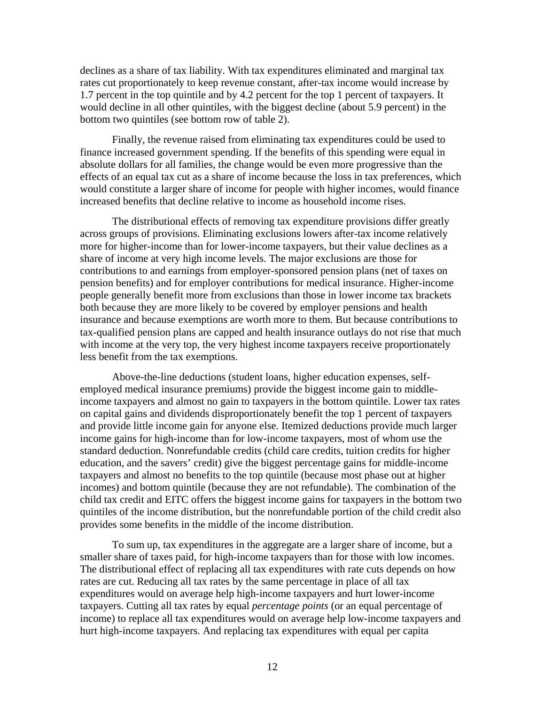declines as a share of tax liability. With tax expenditures eliminated and marginal tax rates cut proportionately to keep revenue constant, after-tax income would increase by 1.7 percent in the top quintile and by 4.2 percent for the top 1 percent of taxpayers. It would decline in all other quintiles, with the biggest decline (about 5.9 percent) in the bottom two quintiles (see bottom row of table 2).

Finally, the revenue raised from eliminating tax expenditures could be used to finance increased government spending. If the benefits of this spending were equal in absolute dollars for all families, the change would be even more progressive than the effects of an equal tax cut as a share of income because the loss in tax preferences, which would constitute a larger share of income for people with higher incomes, would finance increased benefits that decline relative to income as household income rises.

The distributional effects of removing tax expenditure provisions differ greatly across groups of provisions. Eliminating exclusions lowers after-tax income relatively more for higher-income than for lower-income taxpayers, but their value declines as a share of income at very high income levels. The major exclusions are those for contributions to and earnings from employer-sponsored pension plans (net of taxes on pension benefits) and for employer contributions for medical insurance. Higher-income people generally benefit more from exclusions than those in lower income tax brackets both because they are more likely to be covered by employer pensions and health insurance and because exemptions are worth more to them. But because contributions to tax-qualified pension plans are capped and health insurance outlays do not rise that much with income at the very top, the very highest income taxpayers receive proportionately less benefit from the tax exemptions.

Above-the-line deductions (student loans, higher education expenses, selfemployed medical insurance premiums) provide the biggest income gain to middleincome taxpayers and almost no gain to taxpayers in the bottom quintile. Lower tax rates on capital gains and dividends disproportionately benefit the top 1 percent of taxpayers and provide little income gain for anyone else. Itemized deductions provide much larger income gains for high-income than for low-income taxpayers, most of whom use the standard deduction. Nonrefundable credits (child care credits, tuition credits for higher education, and the savers' credit) give the biggest percentage gains for middle-income taxpayers and almost no benefits to the top quintile (because most phase out at higher incomes) and bottom quintile (because they are not refundable). The combination of the child tax credit and EITC offers the biggest income gains for taxpayers in the bottom two quintiles of the income distribution, but the nonrefundable portion of the child credit also provides some benefits in the middle of the income distribution.

To sum up, tax expenditures in the aggregate are a larger share of income, but a smaller share of taxes paid, for high-income taxpayers than for those with low incomes. The distributional effect of replacing all tax expenditures with rate cuts depends on how rates are cut. Reducing all tax rates by the same percentage in place of all tax expenditures would on average help high-income taxpayers and hurt lower-income taxpayers. Cutting all tax rates by equal *percentage points* (or an equal percentage of income) to replace all tax expenditures would on average help low-income taxpayers and hurt high-income taxpayers. And replacing tax expenditures with equal per capita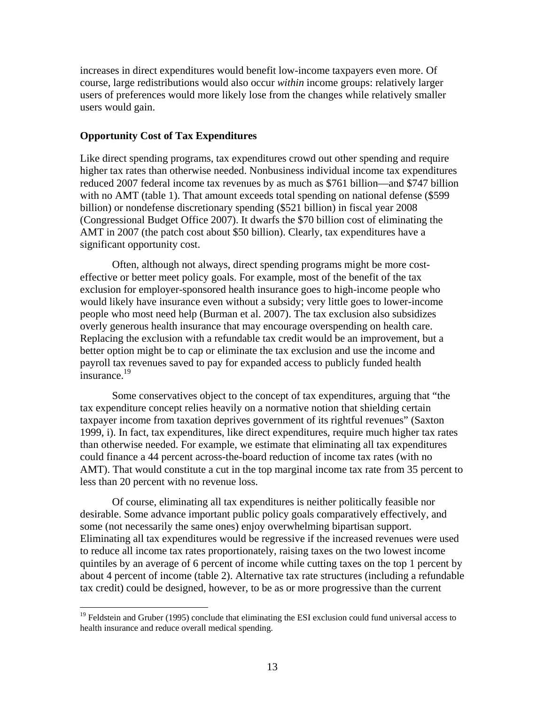increases in direct expenditures would benefit low-income taxpayers even more. Of course, large redistributions would also occur *within* income groups: relatively larger users of preferences would more likely lose from the changes while relatively smaller users would gain.

## **Opportunity Cost of Tax Expenditures**

1

Like direct spending programs, tax expenditures crowd out other spending and require higher tax rates than otherwise needed. Nonbusiness individual income tax expenditures reduced 2007 federal income tax revenues by as much as \$761 billion—and \$747 billion with no AMT (table 1). That amount exceeds total spending on national defense (\$599 billion) or nondefense discretionary spending (\$521 billion) in fiscal year 2008 (Congressional Budget Office 2007). It dwarfs the \$70 billion cost of eliminating the AMT in 2007 (the patch cost about \$50 billion). Clearly, tax expenditures have a significant opportunity cost.

Often, although not always, direct spending programs might be more costeffective or better meet policy goals. For example, most of the benefit of the tax exclusion for employer-sponsored health insurance goes to high-income people who would likely have insurance even without a subsidy; very little goes to lower-income people who most need help (Burman et al. 2007). The tax exclusion also subsidizes overly generous health insurance that may encourage overspending on health care. Replacing the exclusion with a refundable tax credit would be an improvement, but a better option might be to cap or eliminate the tax exclusion and use the income and payroll tax revenues saved to pay for expanded access to publicly funded health insurance.<sup>19</sup>

Some conservatives object to the concept of tax expenditures, arguing that "the tax expenditure concept relies heavily on a normative notion that shielding certain taxpayer income from taxation deprives government of its rightful revenues" (Saxton 1999, i). In fact, tax expenditures, like direct expenditures, require much higher tax rates than otherwise needed. For example, we estimate that eliminating all tax expenditures could finance a 44 percent across-the-board reduction of income tax rates (with no AMT). That would constitute a cut in the top marginal income tax rate from 35 percent to less than 20 percent with no revenue loss.

Of course, eliminating all tax expenditures is neither politically feasible nor desirable. Some advance important public policy goals comparatively effectively, and some (not necessarily the same ones) enjoy overwhelming bipartisan support. Eliminating all tax expenditures would be regressive if the increased revenues were used to reduce all income tax rates proportionately, raising taxes on the two lowest income quintiles by an average of 6 percent of income while cutting taxes on the top 1 percent by about 4 percent of income (table 2). Alternative tax rate structures (including a refundable tax credit) could be designed, however, to be as or more progressive than the current

 $19$  Feldstein and Gruber (1995) conclude that eliminating the ESI exclusion could fund universal access to health insurance and reduce overall medical spending.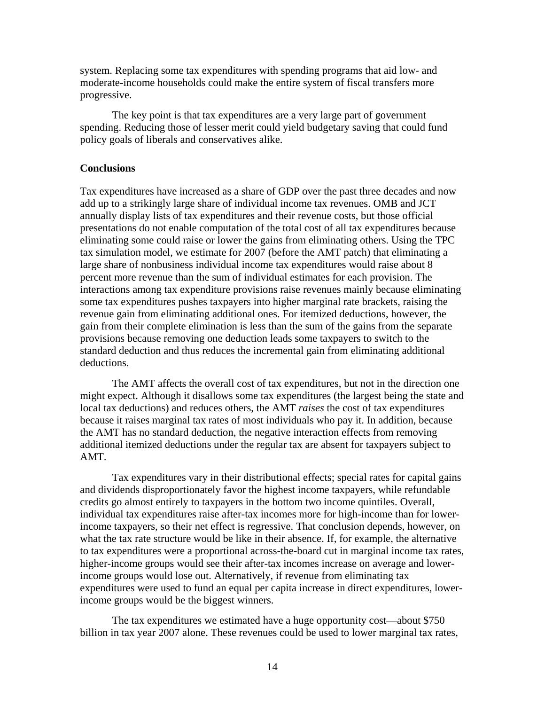system. Replacing some tax expenditures with spending programs that aid low- and moderate-income households could make the entire system of fiscal transfers more progressive.

The key point is that tax expenditures are a very large part of government spending. Reducing those of lesser merit could yield budgetary saving that could fund policy goals of liberals and conservatives alike.

## **Conclusions**

Tax expenditures have increased as a share of GDP over the past three decades and now add up to a strikingly large share of individual income tax revenues. OMB and JCT annually display lists of tax expenditures and their revenue costs, but those official presentations do not enable computation of the total cost of all tax expenditures because eliminating some could raise or lower the gains from eliminating others. Using the TPC tax simulation model, we estimate for 2007 (before the AMT patch) that eliminating a large share of nonbusiness individual income tax expenditures would raise about 8 percent more revenue than the sum of individual estimates for each provision. The interactions among tax expenditure provisions raise revenues mainly because eliminating some tax expenditures pushes taxpayers into higher marginal rate brackets, raising the revenue gain from eliminating additional ones. For itemized deductions, however, the gain from their complete elimination is less than the sum of the gains from the separate provisions because removing one deduction leads some taxpayers to switch to the standard deduction and thus reduces the incremental gain from eliminating additional deductions.

The AMT affects the overall cost of tax expenditures, but not in the direction one might expect. Although it disallows some tax expenditures (the largest being the state and local tax deductions) and reduces others, the AMT *raises* the cost of tax expenditures because it raises marginal tax rates of most individuals who pay it. In addition, because the AMT has no standard deduction, the negative interaction effects from removing additional itemized deductions under the regular tax are absent for taxpayers subject to AMT.

Tax expenditures vary in their distributional effects; special rates for capital gains and dividends disproportionately favor the highest income taxpayers, while refundable credits go almost entirely to taxpayers in the bottom two income quintiles. Overall, individual tax expenditures raise after-tax incomes more for high-income than for lowerincome taxpayers, so their net effect is regressive. That conclusion depends, however, on what the tax rate structure would be like in their absence. If, for example, the alternative to tax expenditures were a proportional across-the-board cut in marginal income tax rates, higher-income groups would see their after-tax incomes increase on average and lowerincome groups would lose out. Alternatively, if revenue from eliminating tax expenditures were used to fund an equal per capita increase in direct expenditures, lowerincome groups would be the biggest winners.

The tax expenditures we estimated have a huge opportunity cost—about \$750 billion in tax year 2007 alone. These revenues could be used to lower marginal tax rates,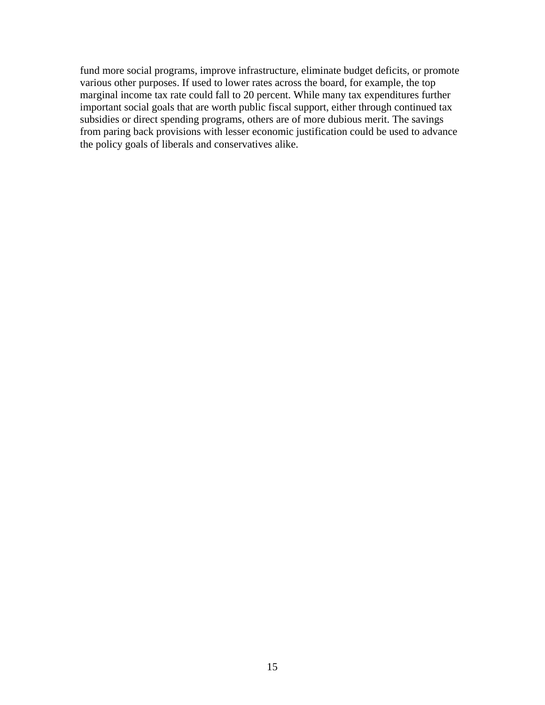fund more social programs, improve infrastructure, eliminate budget deficits, or promote various other purposes. If used to lower rates across the board, for example, the top marginal income tax rate could fall to 20 percent. While many tax expenditures further important social goals that are worth public fiscal support, either through continued tax subsidies or direct spending programs, others are of more dubious merit. The savings from paring back provisions with lesser economic justification could be used to advance the policy goals of liberals and conservatives alike.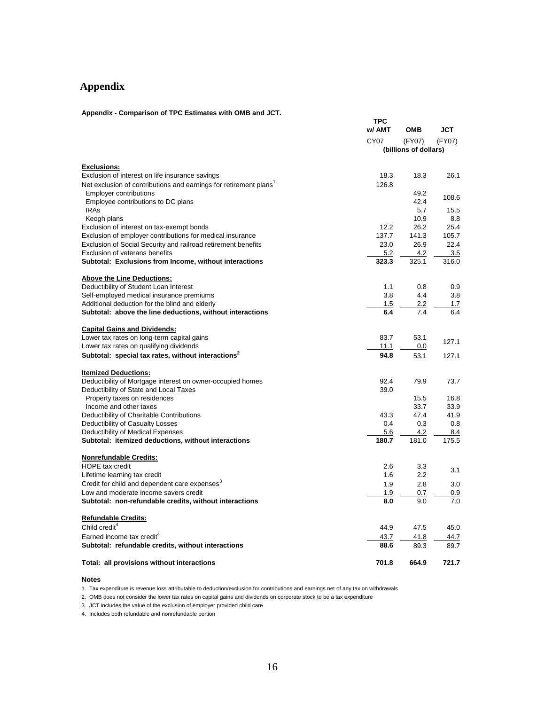# **Appendix**

**Appendix - Comparison of TPC Estimates with OMB and JCT.**

|                                                                  | <b>TPC</b><br>w/ AMT | <b>OMB</b>                      | JCT   |  |
|------------------------------------------------------------------|----------------------|---------------------------------|-------|--|
|                                                                  | CY <sub>07</sub>     | (FY07)<br>(billions of dollars) |       |  |
| <b>Exclusions:</b>                                               |                      |                                 |       |  |
| Exclusion of interest on life insurance savings                  | 18.3                 | 18.3                            | 26.1  |  |
| Net exclusion of contributions and earnings for retirement plans | 126.8                |                                 |       |  |
| <b>Employer contributions</b>                                    |                      | 49.2                            |       |  |
| Employee contributions to DC plans                               |                      | 42.4                            | 108.6 |  |
| <b>IRAs</b>                                                      |                      | 5.7                             | 15.5  |  |
| Keogh plans                                                      |                      | 10.9                            | 8.8   |  |
| Exclusion of interest on tax-exempt bonds                        | 12.2                 | 26.2                            | 25.4  |  |
| Exclusion of employer contributions for medical insurance        | 137.7                | 141.3                           | 105.7 |  |
| Exclusion of Social Security and railroad retirement benefits    | 23.0                 | 26.9                            | 22.4  |  |
| <b>Exclusion of veterans benefits</b>                            | 5.2                  | 4.2                             | 3.5   |  |
| Subtotal: Exclusions from Income, without interactions           | 323.3                | 325.1                           | 316.0 |  |
| <b>Above the Line Deductions:</b>                                |                      |                                 |       |  |
| Deductibility of Student Loan Interest                           | 1.1                  | 0.8                             | 0.9   |  |
| Self-employed medical insurance premiums                         | 3.8                  | 4.4                             | 3.8   |  |
| Additional deduction for the blind and elderly                   | 1.5                  | 2.2                             | 1.7   |  |
| Subtotal: above the line deductions, without interactions        | 6.4                  | 7.4                             | 6.4   |  |
| <b>Capital Gains and Dividends:</b>                              |                      |                                 |       |  |
| Lower tax rates on long-term capital gains                       | 83.7                 | 53.1                            | 127.1 |  |
| Lower tax rates on qualifying dividends                          | 11.1                 | 0.0                             |       |  |
| Subtotal: special tax rates, without interactions <sup>2</sup>   | 94.8                 | 53.1                            | 127.1 |  |
| <b>Itemized Deductions:</b>                                      |                      |                                 |       |  |
| Deductibility of Mortgage interest on owner-occupied homes       | 92.4                 | 79.9                            | 73.7  |  |
| Deductibility of State and Local Taxes                           | 39.0                 |                                 |       |  |
| Property taxes on residences                                     |                      | 15.5                            | 16.8  |  |
| Income and other taxes                                           |                      | 33.7                            | 33.9  |  |
| Deductibility of Charitable Contributions                        | 43.3                 | 47.4                            | 41.9  |  |
| Deductibility of Casualty Losses                                 | 0.4                  | 0.3                             | 0.8   |  |
| Deductibility of Medical Expenses                                | 5.6<br>180.7         | 4.2                             | 8.4   |  |
| Subtotal: itemized deductions, without interactions              |                      | 181.0                           | 175.5 |  |
| <b>Nonrefundable Credits:</b>                                    |                      |                                 |       |  |
| <b>HOPE</b> tax credit                                           | 2.6                  | 3.3                             | 3.1   |  |
| Lifetime learning tax credit                                     | 1.6                  | 2.2                             |       |  |
| Credit for child and dependent care expenses <sup>3</sup>        | 1.9                  | 2.8                             | 3.0   |  |
| Low and moderate income savers credit                            | 1.9                  | 0.7                             | 0.9   |  |
| Subtotal: non-refundable credits, without interactions           | 8.0                  | 9.0                             | 7.0   |  |
| <b>Refundable Credits:</b>                                       |                      |                                 |       |  |
| Child credit <sup>4</sup>                                        | 44.9                 | 47.5                            | 45.0  |  |
| Earned income tax credit <sup>4</sup>                            | 43.7                 | 41.8                            | 44.7  |  |
| Subtotal: refundable credits, without interactions               | 88.6                 | 89.3                            | 89.7  |  |
| Total: all provisions without interactions                       | 701.8                | 664.9                           | 721.7 |  |

**Notes**

1. Tax expenditure is revenue loss attributable to deduction/exclusion for contributions and earnings net of any tax on withdrawals

2. OMB does not consider the lower tax rates on capital gains and dividends on corporate stock to be a tax expenditure

3. JCT includes the value of the exclusion of employer provided child care

4. Includes both refundable and nonrefundable portion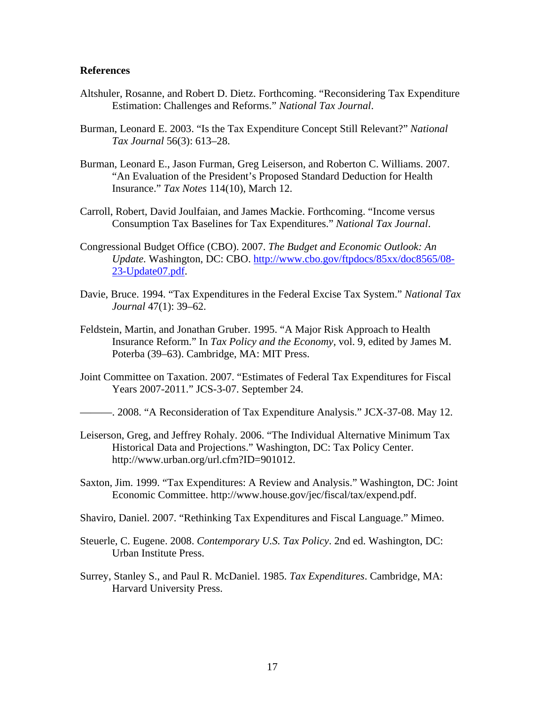## **References**

- Altshuler, Rosanne, and Robert D. Dietz. Forthcoming. "Reconsidering Tax Expenditure Estimation: Challenges and Reforms." *National Tax Journal*.
- Burman, Leonard E. 2003. "Is the Tax Expenditure Concept Still Relevant?" *National Tax Journal* 56(3): 613–28.
- Burman, Leonard E., Jason Furman, Greg Leiserson, and Roberton C. Williams. 2007. "An Evaluation of the President's Proposed Standard Deduction for Health Insurance." *Tax Notes* 114(10), March 12.
- Carroll, Robert, David Joulfaian, and James Mackie. Forthcoming. "Income versus Consumption Tax Baselines for Tax Expenditures." *National Tax Journal*.
- Congressional Budget Office (CBO). 2007. *The Budget and Economic Outlook: An Update.* Washington, DC: CBO. http://www.cbo.gov/ftpdocs/85xx/doc8565/08- 23-Update07.pdf.
- Davie, Bruce. 1994. "Tax Expenditures in the Federal Excise Tax System." *National Tax Journal* 47(1): 39–62.
- Feldstein, Martin, and Jonathan Gruber. 1995. "A Major Risk Approach to Health Insurance Reform." In *Tax Policy and the Economy,* vol. 9, edited by James M. Poterba (39–63). Cambridge, MA: MIT Press.
- Joint Committee on Taxation. 2007. "Estimates of Federal Tax Expenditures for Fiscal Years 2007-2011." JCS-3-07. September 24.
- ———. 2008. "A Reconsideration of Tax Expenditure Analysis." JCX-37-08. May 12.
- Leiserson, Greg, and Jeffrey Rohaly. 2006. "The Individual Alternative Minimum Tax Historical Data and Projections." Washington, DC: Tax Policy Center. http://www.urban.org/url.cfm?ID=901012.
- Saxton, Jim. 1999. "Tax Expenditures: A Review and Analysis." Washington, DC: Joint Economic Committee. http://www.house.gov/jec/fiscal/tax/expend.pdf.
- Shaviro, Daniel. 2007. "Rethinking Tax Expenditures and Fiscal Language." Mimeo.
- Steuerle, C. Eugene. 2008. *Contemporary U.S. Tax Policy*. 2nd ed. Washington, DC: Urban Institute Press.
- Surrey, Stanley S., and Paul R. McDaniel. 1985. *Tax Expenditures*. Cambridge, MA: Harvard University Press.